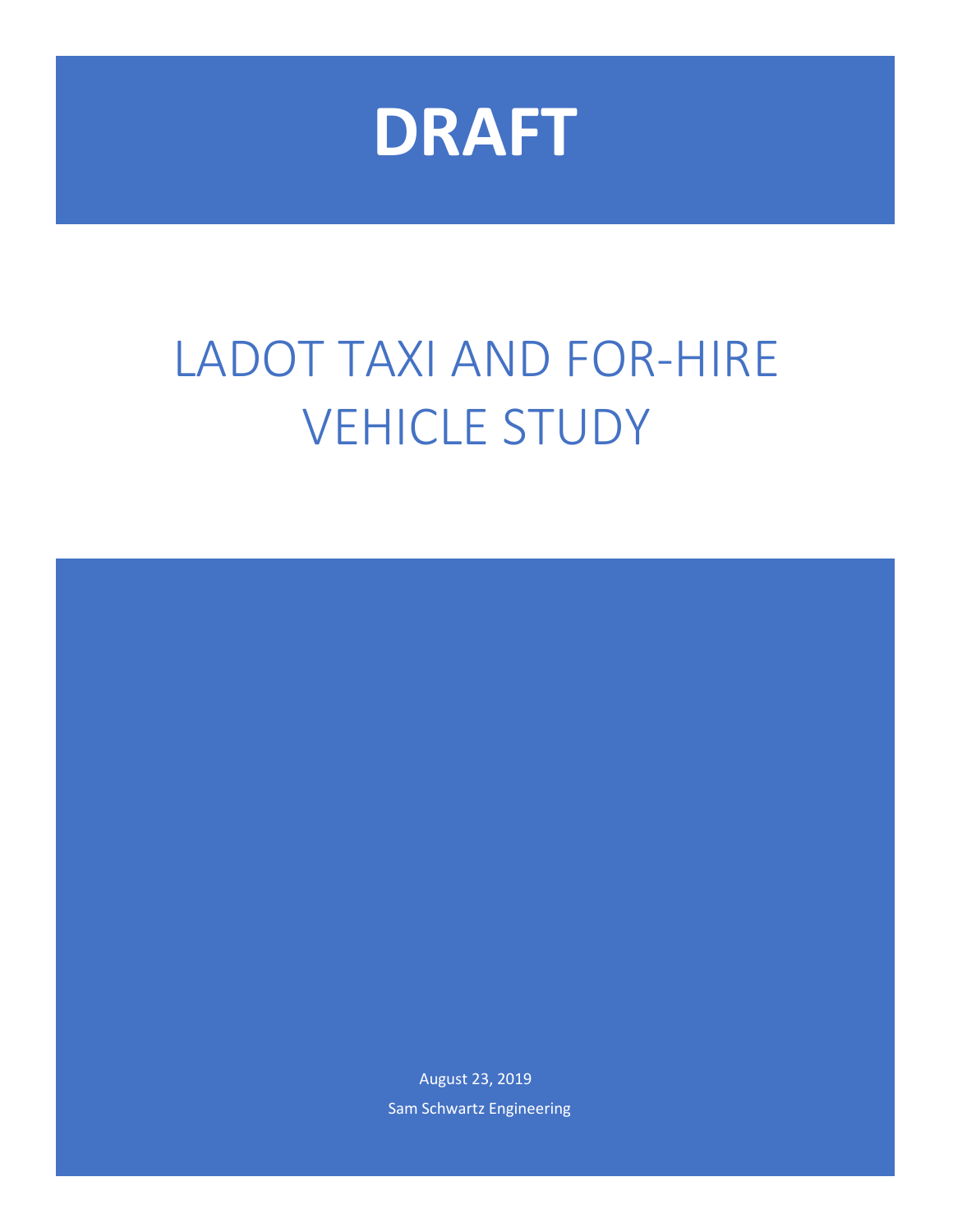

# LADOT TAXI AND FOR-HIRE VEHICLE STUDY

August 23, 2019 Sam Schwartz Engineering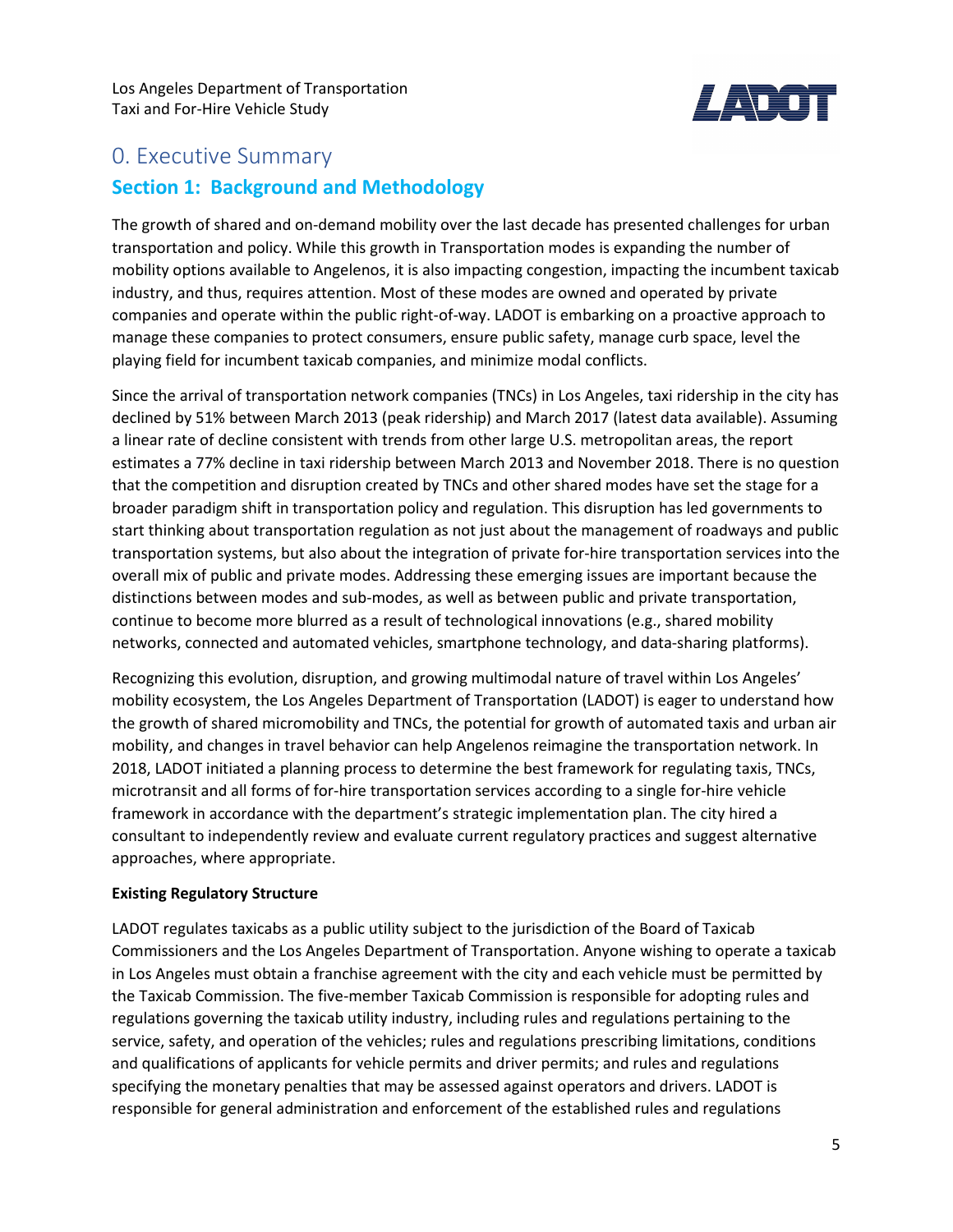

## 0. Executive Summary **Section 1: Background and Methodology**

The growth of shared and on-demand mobility over the last decade has presented challenges for urban transportation and policy. While this growth in Transportation modes is expanding the number of mobility options available to Angelenos, it is also impacting congestion, impacting the incumbent taxicab industry, and thus, requires attention. Most of these modes are owned and operated by private companies and operate within the public right-of-way. LADOT is embarking on a proactive approach to manage these companies to protect consumers, ensure public safety, manage curb space, level the playing field for incumbent taxicab companies, and minimize modal conflicts.

Since the arrival of transportation network companies (TNCs) in Los Angeles, taxi ridership in the city has declined by 51% between March 2013 (peak ridership) and March 2017 (latest data available). Assuming a linear rate of decline consistent with trends from other large U.S. metropolitan areas, the report estimates a 77% decline in taxi ridership between March 2013 and November 2018. There is no question that the competition and disruption created by TNCs and other shared modes have set the stage for a broader paradigm shift in transportation policy and regulation. This disruption has led governments to start thinking about transportation regulation as not just about the management of roadways and public transportation systems, but also about the integration of private for-hire transportation services into the overall mix of public and private modes. Addressing these emerging issues are important because the distinctions between modes and sub-modes, as well as between public and private transportation, continue to become more blurred as a result of technological innovations (e.g., shared mobility networks, connected and automated vehicles, smartphone technology, and data-sharing platforms).

Recognizing this evolution, disruption, and growing multimodal nature of travel within Los Angeles' mobility ecosystem, the Los Angeles Department of Transportation (LADOT) is eager to understand how the growth of shared micromobility and TNCs, the potential for growth of automated taxis and urban air mobility, and changes in travel behavior can help Angelenos reimagine the transportation network. In 2018, LADOT initiated a planning process to determine the best framework for regulating taxis, TNCs, microtransit and all forms of for-hire transportation services according to a single for-hire vehicle framework in accordance with the department's strategic implementation plan. The city hired a consultant to independently review and evaluate current regulatory practices and suggest alternative approaches, where appropriate.

#### **Existing Regulatory Structure**

LADOT regulates taxicabs as a public utility subject to the jurisdiction of the Board of Taxicab Commissioners and the Los Angeles Department of Transportation. Anyone wishing to operate a taxicab in Los Angeles must obtain a franchise agreement with the city and each vehicle must be permitted by the Taxicab Commission. The five-member Taxicab Commission is responsible for adopting rules and regulations governing the taxicab utility industry, including rules and regulations pertaining to the service, safety, and operation of the vehicles; rules and regulations prescribing limitations, conditions and qualifications of applicants for vehicle permits and driver permits; and rules and regulations specifying the monetary penalties that may be assessed against operators and drivers. LADOT is responsible for general administration and enforcement of the established rules and regulations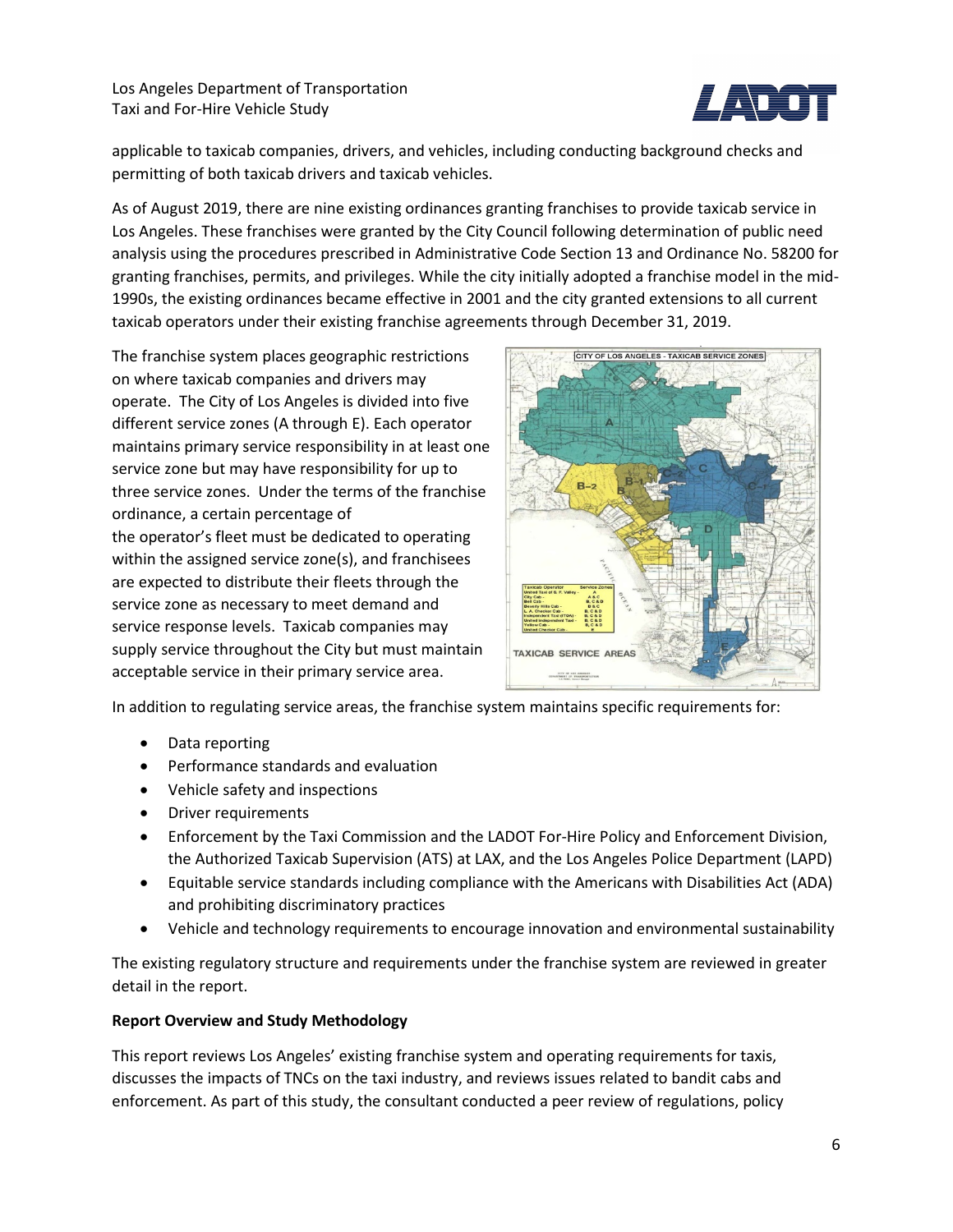

applicable to taxicab companies, drivers, and vehicles, including conducting background checks and permitting of both taxicab drivers and taxicab vehicles.

As of August 2019, there are nine existing ordinances granting franchises to provide taxicab service in Los Angeles. These franchises were granted by the City Council following determination of public need analysis using the procedures prescribed in Administrative Code Section 13 and Ordinance No. 58200 for granting franchises, permits, and privileges. While the city initially adopted a franchise model in the mid-1990s, the existing ordinances became effective in 2001 and the city granted extensions to all current taxicab operators under their existing franchise agreements through December 31, 2019.

The franchise system places geographic restrictions on where taxicab companies and drivers may operate. The City of Los Angeles is divided into five different service zones (A through E). Each operator maintains primary service responsibility in at least one service zone but may have responsibility for up to three service zones. Under the terms of the franchise ordinance, a certain percentage of the operator's fleet must be dedicated to operating within the assigned service zone(s), and franchisees are expected to distribute their fleets through the service zone as necessary to meet demand and service response levels. Taxicab companies may supply service throughout the City but must maintain acceptable service in their primary service area.



In addition to regulating service areas, the franchise system maintains specific requirements for:

- Data reporting
- Performance standards and evaluation
- Vehicle safety and inspections
- Driver requirements
- Enforcement by the Taxi Commission and the LADOT For-Hire Policy and Enforcement Division, the Authorized Taxicab Supervision (ATS) at LAX, and the Los Angeles Police Department (LAPD)
- Equitable service standards including compliance with the Americans with Disabilities Act (ADA) and prohibiting discriminatory practices
- Vehicle and technology requirements to encourage innovation and environmental sustainability

The existing regulatory structure and requirements under the franchise system are reviewed in greater detail in the report.

#### **Report Overview and Study Methodology**

This report reviews Los Angeles' existing franchise system and operating requirements for taxis, discusses the impacts of TNCs on the taxi industry, and reviews issues related to bandit cabs and enforcement. As part of this study, the consultant conducted a peer review of regulations, policy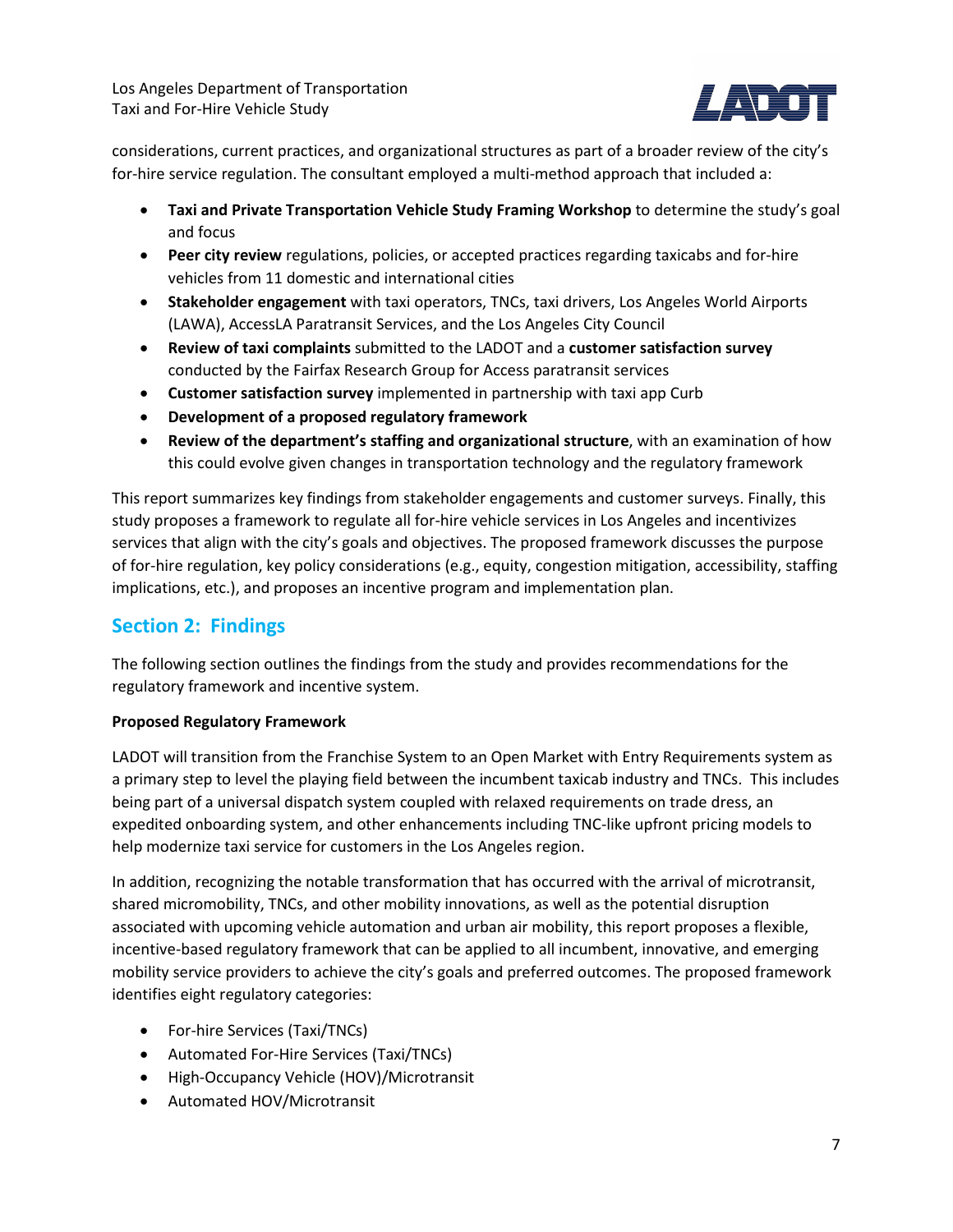

considerations, current practices, and organizational structures as part of a broader review of the city's for-hire service regulation. The consultant employed a multi-method approach that included a:

- **Taxi and Private Transportation Vehicle Study Framing Workshop** to determine the study's goal and focus
- **Peer city review** regulations, policies, or accepted practices regarding taxicabs and for-hire vehicles from 11 domestic and international cities
- **Stakeholder engagement** with taxi operators, TNCs, taxi drivers, Los Angeles World Airports (LAWA), AccessLA Paratransit Services, and the Los Angeles City Council
- **Review of taxi complaints** submitted to the LADOT and a **customer satisfaction survey**  conducted by the Fairfax Research Group for Access paratransit services
- **Customer satisfaction survey** implemented in partnership with taxi app Curb
- **Development of a proposed regulatory framework**
- **Review of the department's staffing and organizational structure**, with an examination of how this could evolve given changes in transportation technology and the regulatory framework

This report summarizes key findings from stakeholder engagements and customer surveys. Finally, this study proposes a framework to regulate all for-hire vehicle services in Los Angeles and incentivizes services that align with the city's goals and objectives. The proposed framework discusses the purpose of for-hire regulation, key policy considerations (e.g., equity, congestion mitigation, accessibility, staffing implications, etc.), and proposes an incentive program and implementation plan.

### **Section 2: Findings**

The following section outlines the findings from the study and provides recommendations for the regulatory framework and incentive system.

#### **Proposed Regulatory Framework**

LADOT will transition from the Franchise System to an Open Market with Entry Requirements system as a primary step to level the playing field between the incumbent taxicab industry and TNCs. This includes being part of a universal dispatch system coupled with relaxed requirements on trade dress, an expedited onboarding system, and other enhancements including TNC-like upfront pricing models to help modernize taxi service for customers in the Los Angeles region.

In addition, recognizing the notable transformation that has occurred with the arrival of microtransit, shared micromobility, TNCs, and other mobility innovations, as well as the potential disruption associated with upcoming vehicle automation and urban air mobility, this report proposes a flexible, incentive-based regulatory framework that can be applied to all incumbent, innovative, and emerging mobility service providers to achieve the city's goals and preferred outcomes. The proposed framework identifies eight regulatory categories:

- For-hire Services (Taxi/TNCs)
- Automated For-Hire Services (Taxi/TNCs)
- High-Occupancy Vehicle (HOV)/Microtransit
- Automated HOV/Microtransit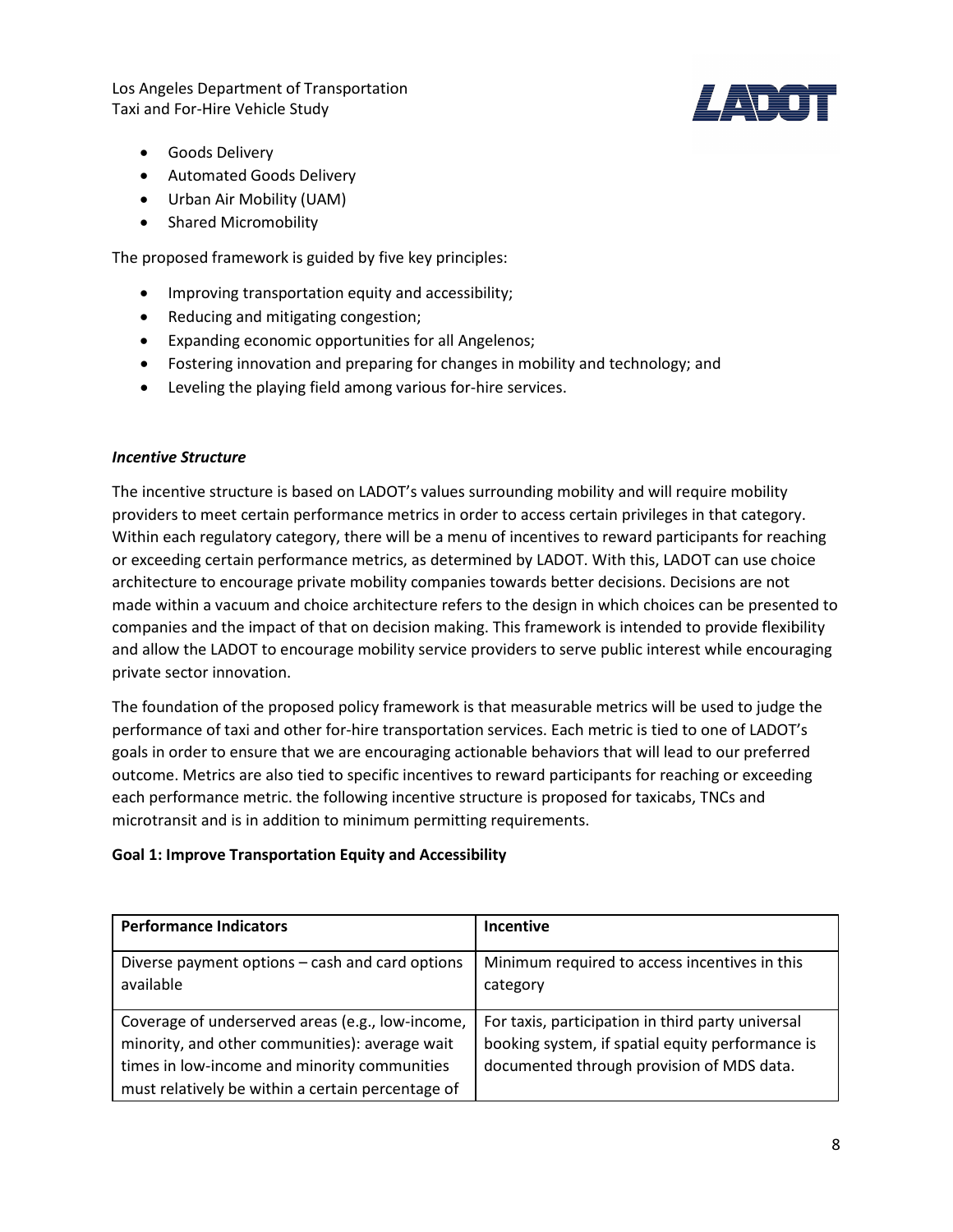

- Goods Delivery
- Automated Goods Delivery
- Urban Air Mobility (UAM)
- Shared Micromobility

The proposed framework is guided by five key principles:

- Improving transportation equity and accessibility;
- Reducing and mitigating congestion;
- Expanding economic opportunities for all Angelenos;
- Fostering innovation and preparing for changes in mobility and technology; and
- Leveling the playing field among various for-hire services.

#### *Incentive Structure*

The incentive structure is based on LADOT's values surrounding mobility and will require mobility providers to meet certain performance metrics in order to access certain privileges in that category. Within each regulatory category, there will be a menu of incentives to reward participants for reaching or exceeding certain performance metrics, as determined by LADOT. With this, LADOT can use choice architecture to encourage private mobility companies towards better decisions. Decisions are not made within a vacuum and choice architecture refers to the design in which choices can be presented to companies and the impact of that on decision making. This framework is intended to provide flexibility and allow the LADOT to encourage mobility service providers to serve public interest while encouraging private sector innovation.

The foundation of the proposed policy framework is that measurable metrics will be used to judge the performance of taxi and other for-hire transportation services. Each metric is tied to one of LADOT's goals in order to ensure that we are encouraging actionable behaviors that will lead to our preferred outcome. Metrics are also tied to specific incentives to reward participants for reaching or exceeding each performance metric. the following incentive structure is proposed for taxicabs, TNCs and microtransit and is in addition to minimum permitting requirements.

#### **Goal 1: Improve Transportation Equity and Accessibility**

| <b>Performance Indicators</b>                                                                                                                                                                           | <b>Incentive</b>                                                                                                                                   |
|---------------------------------------------------------------------------------------------------------------------------------------------------------------------------------------------------------|----------------------------------------------------------------------------------------------------------------------------------------------------|
| Diverse payment options - cash and card options<br>available                                                                                                                                            | Minimum required to access incentives in this<br>category                                                                                          |
| Coverage of underserved areas (e.g., low-income,<br>minority, and other communities): average wait<br>times in low-income and minority communities<br>must relatively be within a certain percentage of | For taxis, participation in third party universal<br>booking system, if spatial equity performance is<br>documented through provision of MDS data. |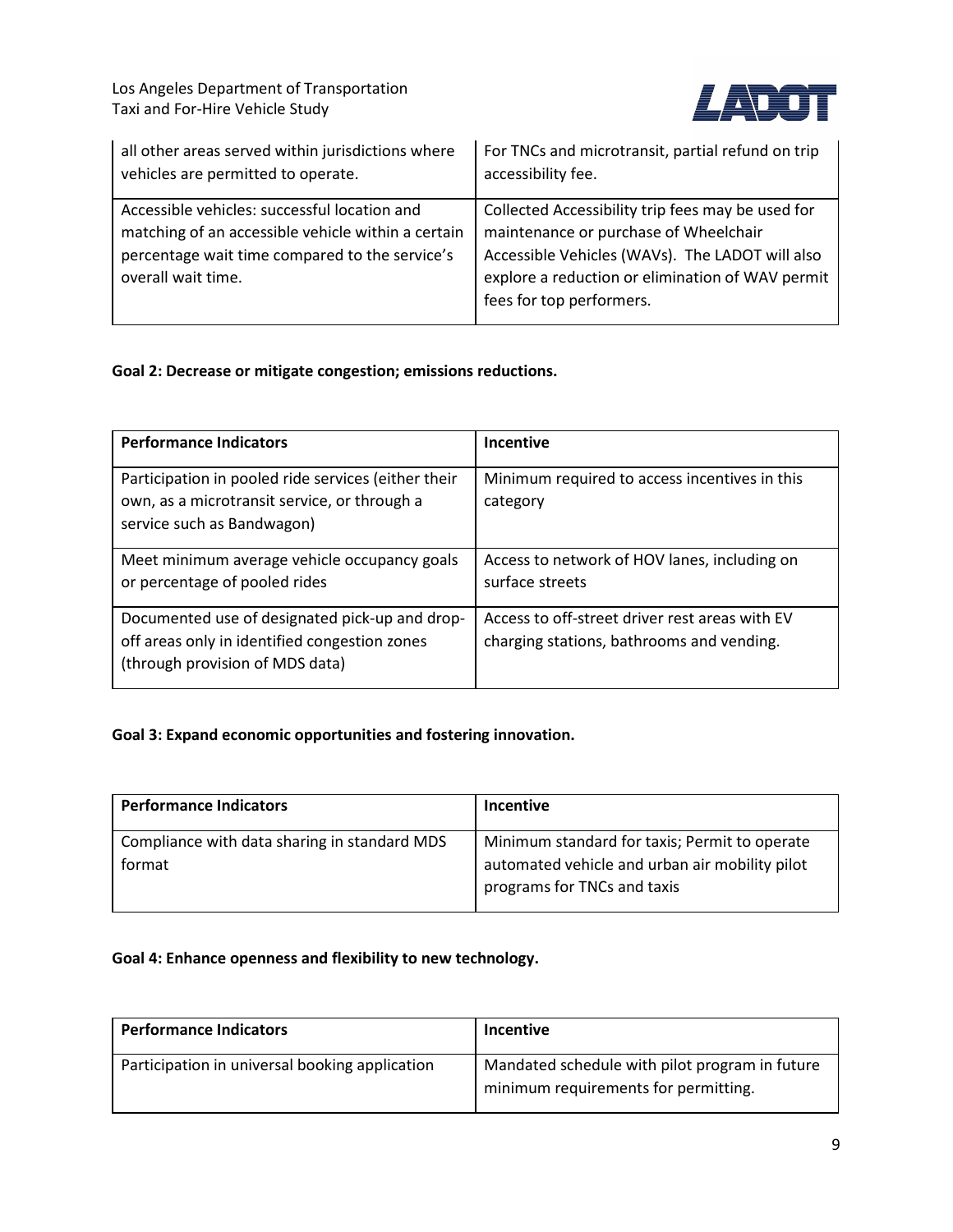

| all other areas served within jurisdictions where                                                                                                                          | For TNCs and microtransit, partial refund on trip                                                                                                                                                                             |
|----------------------------------------------------------------------------------------------------------------------------------------------------------------------------|-------------------------------------------------------------------------------------------------------------------------------------------------------------------------------------------------------------------------------|
| vehicles are permitted to operate.                                                                                                                                         | accessibility fee.                                                                                                                                                                                                            |
| Accessible vehicles: successful location and<br>matching of an accessible vehicle within a certain<br>percentage wait time compared to the service's<br>overall wait time. | Collected Accessibility trip fees may be used for<br>maintenance or purchase of Wheelchair<br>Accessible Vehicles (WAVs). The LADOT will also<br>explore a reduction or elimination of WAV permit<br>fees for top performers. |

#### **Goal 2: Decrease or mitigate congestion; emissions reductions.**

| <b>Performance Indicators</b>                                                                                                      | <b>Incentive</b>                                                                            |
|------------------------------------------------------------------------------------------------------------------------------------|---------------------------------------------------------------------------------------------|
| Participation in pooled ride services (either their<br>own, as a microtransit service, or through a<br>service such as Bandwagon)  | Minimum required to access incentives in this<br>category                                   |
| Meet minimum average vehicle occupancy goals<br>or percentage of pooled rides                                                      | Access to network of HOV lanes, including on<br>surface streets                             |
| Documented use of designated pick-up and drop-<br>off areas only in identified congestion zones<br>(through provision of MDS data) | Access to off-street driver rest areas with EV<br>charging stations, bathrooms and vending. |

#### **Goal 3: Expand economic opportunities and fostering innovation.**

| <b>Performance Indicators</b>                          | <b>Incentive</b>                                                                                                               |
|--------------------------------------------------------|--------------------------------------------------------------------------------------------------------------------------------|
| Compliance with data sharing in standard MDS<br>format | Minimum standard for taxis; Permit to operate<br>automated vehicle and urban air mobility pilot<br>programs for TNCs and taxis |

#### **Goal 4: Enhance openness and flexibility to new technology.**

| <b>Performance Indicators</b>                  | <b>Incentive</b>                                                                       |
|------------------------------------------------|----------------------------------------------------------------------------------------|
| Participation in universal booking application | Mandated schedule with pilot program in future<br>minimum requirements for permitting. |